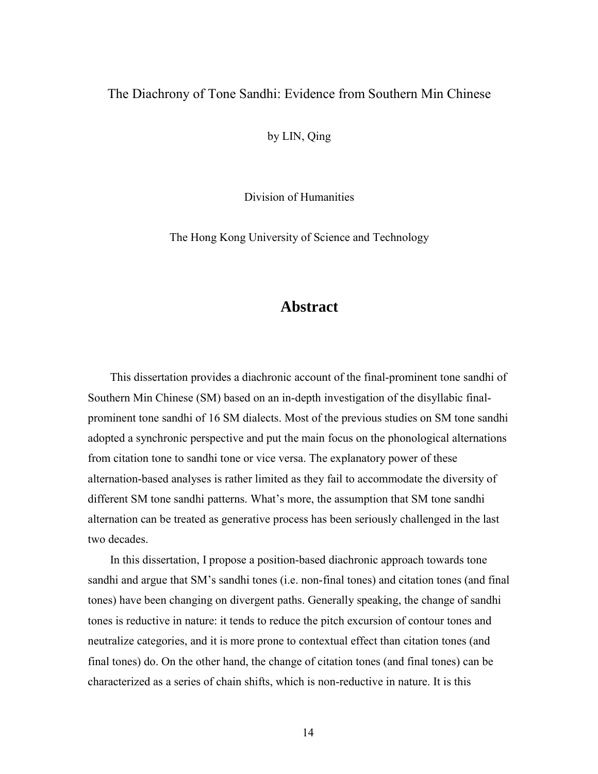## The Diachrony of Tone Sandhi: Evidence from Southern Min Chinese

by LIN, Qing

Division of Humanities

The Hong Kong University of Science and Technology

## **Abstract**

This dissertation provides a diachronic account of the final-prominent tone sandhi of Southern Min Chinese (SM) based on an in-depth investigation of the disyllabic finalprominent tone sandhi of 16 SM dialects. Most of the previous studies on SM tone sandhi adopted a synchronic perspective and put the main focus on the phonological alternations from citation tone to sandhi tone or vice versa. The explanatory power of these alternation-based analyses is rather limited as they fail to accommodate the diversity of different SM tone sandhi patterns. What's more, the assumption that SM tone sandhi alternation can be treated as generative process has been seriously challenged in the last two decades.

In this dissertation, I propose a position-based diachronic approach towards tone sandhi and argue that SM's sandhi tones (i.e. non-final tones) and citation tones (and final tones) have been changing on divergent paths. Generally speaking, the change of sandhi tones is reductive in nature: it tends to reduce the pitch excursion of contour tones and neutralize categories, and it is more prone to contextual effect than citation tones (and final tones) do. On the other hand, the change of citation tones (and final tones) can be characterized as a series of chain shifts, which is non-reductive in nature. It is this

14